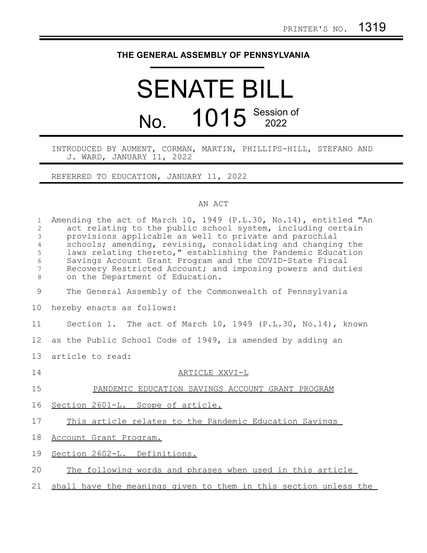## **THE GENERAL ASSEMBLY OF PENNSYLVANIA**

## SENATE BILL No. 1015 Session of

INTRODUCED BY AUMENT, CORMAN, MARTIN, PHILLIPS-HILL, STEFANO AND J. WARD, JANUARY 11, 2022

REFERRED TO EDUCATION, JANUARY 11, 2022

## AN ACT

| $\mathbf{1}$<br>2<br>3<br>$\overline{4}$<br>5<br>6<br>$7\phantom{.0}$<br>8 | Amending the act of March 10, 1949 (P.L.30, No.14), entitled "An<br>act relating to the public school system, including certain<br>provisions applicable as well to private and parochial<br>schools; amending, revising, consolidating and changing the<br>laws relating thereto," establishing the Pandemic Education<br>Savings Account Grant Program and the COVID-State Fiscal<br>Recovery Restricted Account; and imposing powers and duties<br>on the Department of Education. |
|----------------------------------------------------------------------------|---------------------------------------------------------------------------------------------------------------------------------------------------------------------------------------------------------------------------------------------------------------------------------------------------------------------------------------------------------------------------------------------------------------------------------------------------------------------------------------|
| 9                                                                          | The General Assembly of the Commonwealth of Pennsylvania                                                                                                                                                                                                                                                                                                                                                                                                                              |
| 10                                                                         | hereby enacts as follows:                                                                                                                                                                                                                                                                                                                                                                                                                                                             |
| 11                                                                         | Section 1. The act of March 10, 1949 (P.L.30, No.14), known                                                                                                                                                                                                                                                                                                                                                                                                                           |
| 12                                                                         | as the Public School Code of 1949, is amended by adding an                                                                                                                                                                                                                                                                                                                                                                                                                            |
| 13                                                                         | article to read:                                                                                                                                                                                                                                                                                                                                                                                                                                                                      |
| 14                                                                         | ARTICLE XXVI-L                                                                                                                                                                                                                                                                                                                                                                                                                                                                        |
| 15                                                                         | PANDEMIC EDUCATION SAVINGS ACCOUNT GRANT PROGRAM                                                                                                                                                                                                                                                                                                                                                                                                                                      |
| 16                                                                         | Section 2601-L. Scope of article.                                                                                                                                                                                                                                                                                                                                                                                                                                                     |
| 17                                                                         | This article relates to the Pandemic Education Savings                                                                                                                                                                                                                                                                                                                                                                                                                                |
| 18                                                                         | Account Grant Program.                                                                                                                                                                                                                                                                                                                                                                                                                                                                |
| 19                                                                         | Section 2602-L. Definitions.                                                                                                                                                                                                                                                                                                                                                                                                                                                          |
| 20                                                                         | The following words and phrases when used in this article                                                                                                                                                                                                                                                                                                                                                                                                                             |
| 21                                                                         | shall have the meanings given to them in this section unless the                                                                                                                                                                                                                                                                                                                                                                                                                      |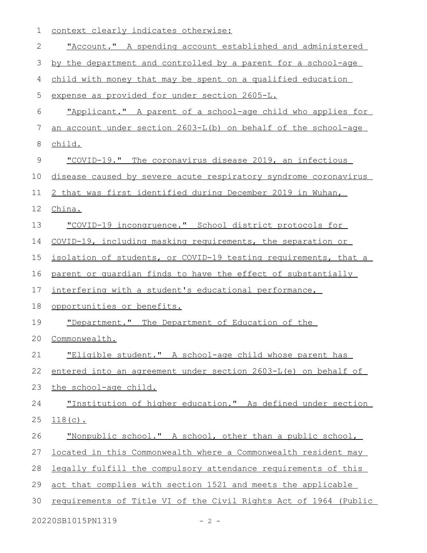| 1  | context clearly indicates otherwise:                             |
|----|------------------------------------------------------------------|
| 2  | "Account." A spending account established and administered       |
| 3  | by the department and controlled by a parent for a school-age    |
| 4  | child with money that may be spent on a qualified education      |
| 5  | expense as provided for under section 2605-L.                    |
| 6  | "Applicant." A parent of a school-age child who applies for      |
| 7  | an account under section 2603-L(b) on behalf of the school-age   |
| 8  | child.                                                           |
| 9  | "COVID-19." The coronavirus disease 2019, an infectious          |
| 10 | disease caused by severe acute respiratory syndrome coronavirus  |
| 11 | 2 that was first identified during December 2019 in Wuhan,       |
| 12 | China.                                                           |
| 13 | "COVID-19 incongruence." School district protocols for           |
| 14 | COVID-19, including masking requirements, the separation or      |
| 15 | isolation of students, or COVID-19 testing requirements, that a  |
| 16 | parent or quardian finds to have the effect of substantially     |
| 17 | interfering with a student's educational performance,            |
| 18 | opportunities or benefits.                                       |
| 19 | "Department." The Department of Education of the                 |
|    | 20 Commonwealth.                                                 |
| 21 | "Eligible student." A school-age child whose parent has          |
| 22 | entered into an agreement under section 2603-L(e) on behalf of   |
| 23 | the school-age child.                                            |
| 24 | "Institution of higher education." As defined under section      |
| 25 | $118(c)$ .                                                       |
| 26 | "Nonpublic school." A school, other than a public school,        |
| 27 | located in this Commonwealth where a Commonwealth resident may   |
| 28 | legally fulfill the compulsory attendance requirements of this   |
| 29 | act that complies with section 1521 and meets the applicable     |
| 30 | requirements of Title VI of the Civil Rights Act of 1964 (Public |
|    |                                                                  |

20220SB1015PN1319 - 2 -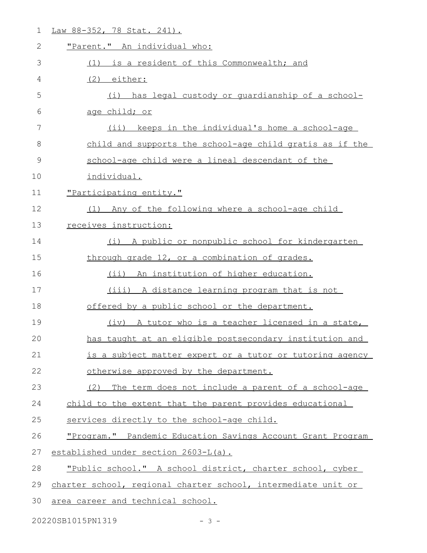| $\mathbf 1$ | Law 88-352, 78 Stat. 241).                                    |
|-------------|---------------------------------------------------------------|
| 2           | "Parent." An individual who:                                  |
| 3           | is a resident of this Commonwealth; and<br>(1)                |
| 4           | (2)<br><u>either:</u>                                         |
| 5           | has legal custody or guardianship of a school-<br>(i)         |
| 6           | age child; or                                                 |
| 7           | keeps in the individual's home a school-age<br>$(i$ i)        |
| 8           | child and supports the school-age child gratis as if the      |
| 9           | school-age child were a lineal descendant of the              |
| 10          | individual.                                                   |
| 11          | "Participating entity."                                       |
| 12          | Any of the following where a school-age child<br>(1)          |
| 13          | receives instruction:                                         |
| 14          | A public or nonpublic school for kindergarten<br>(i)          |
| 15          | through grade 12, or a combination of grades.                 |
| 16          | (ii) An institution of higher education.                      |
| 17          | (iii) A distance learning program that is not                 |
| 18          | offered by a public school or the department.                 |
| 19          | (iv) A tutor who is a teacher licensed in a state,            |
| 20          | has taught at an eligible postsecondary institution and       |
| 21          | is a subject matter expert or a tutor or tutoring agency      |
| 22          | otherwise approved by the department.                         |
| 23          | (2)<br>The term does not include a parent of a school-age     |
| 24          | child to the extent that the parent provides educational      |
| 25          | services directly to the school-age child.                    |
| 26          | "Program." Pandemic Education Savings Account Grant Program   |
| 27          | established under section 2603-L(a).                          |
| 28          | "Public school." A school district, charter school, cyber     |
| 29          | charter school, regional charter school, intermediate unit or |
| 30          | area career and technical school.                             |

20220SB1015PN1319 - 3 -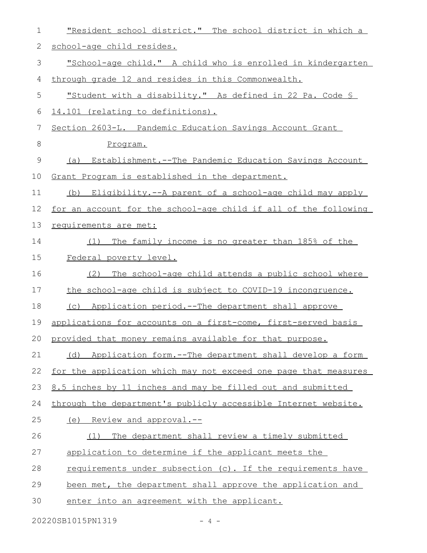| 1           | "Resident school district." The school district in which a      |
|-------------|-----------------------------------------------------------------|
| 2           | school-age child resides.                                       |
| 3           | "School-age child." A child who is enrolled in kindergarten     |
| 4           | through grade 12 and resides in this Commonwealth.              |
| 5           | "Student with a disability." As defined in 22 Pa. Code §        |
| 6           | 14.101 (relating to definitions).                               |
| 7           | Section 2603-L. Pandemic Education Savings Account Grant        |
| $8\,$       | Program.                                                        |
| $\mathsf 9$ | (a) Establishment.--The Pandemic Education Savings Account      |
| 10          | Grant Program is established in the department.                 |
| 11          | (b) Eligibility.--A parent of a school-age child may apply      |
| 12          | for an account for the school-age child if all of the following |
| 13          | requirements are met:                                           |
| 14          | The family income is no greater than 185% of the<br>(1)         |
| 15          | Federal poverty level.                                          |
| 16          | The school-age child attends a public school where<br>(2)       |
| 17          | the school-age child is subject to COVID-19 incongruence.       |
| 18          | (c) Application period.--The department shall approve           |
| 19          | applications for accounts on a first-come, first-served basis   |
| 20          | provided that money remains available for that purpose.         |
| 21          | Application form.--The department shall develop a form<br>(d)   |
| 22          | for the application which may not exceed one page that measures |
| 23          | 8.5 inches by 11 inches and may be filled out and submitted     |
| 24          | through the department's publicly accessible Internet website.  |
| 25          | (e) Review and approval.--                                      |
| 26          | The department shall review a timely submitted<br>(1)           |
| 27          | application to determine if the applicant meets the             |
| 28          | requirements under subsection (c). If the requirements have     |
| 29          | been met, the department shall approve the application and      |
| 30          | enter into an agreement with the applicant.                     |
|             | 20220SB1015PN1319<br>$4 -$                                      |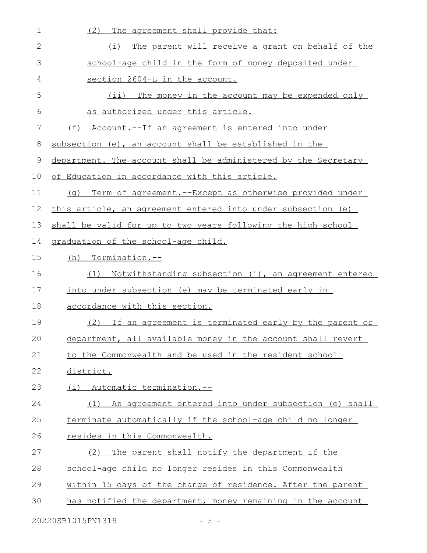| $\mathbf 1$  | The agreement shall provide that:<br>(2)                        |
|--------------|-----------------------------------------------------------------|
| $\mathbf{2}$ | The parent will receive a grant on behalf of the<br>(i)         |
| 3            | school-age child in the form of money deposited under           |
| 4            | section 2604-L in the account.                                  |
| 5            | (i)<br>The money in the account may be expended only            |
| 6            | as authorized under this article.                               |
| 7            | <u>(f) Account.--If an agreement is entered into under</u>      |
| 8            | subsection (e), an account shall be established in the          |
| 9            | department. The account shall be administered by the Secretary  |
| 10           | <u>of Education in accordance with this article.</u>            |
| 11           | Term of agreement. -- Except as otherwise provided under<br>(a) |
| 12           | this article, an agreement entered into under subsection (e)    |
| 13           | shall be valid for up to two years following the high school    |
| 14           | graduation of the school-age child.                             |
| 15           | (h) Termination.--                                              |
| 16           | Notwithstanding subsection (i), an agreement entered<br>(1)     |
| 17           | into under subsection (e) may be terminated early in            |
| 18           | accordance with this section.                                   |
| 19           | (2) If an agreement is terminated early by the parent or        |
| 20           | department, all available money in the account shall revert     |
| 21           | to the Commonwealth and be used in the resident school          |
| 22           | district.                                                       |
| 23           | (i) Automatic termination.--                                    |
| 24           | (1) An agreement entered into under subsection (e) shall        |
| 25           | terminate automatically if the school-age child no longer       |
| 26           | resides in this Commonwealth.                                   |
| 27           | The parent shall notify the department if the<br>(2)            |
| 28           | school-age child no longer resides in this Commonwealth         |
| 29           | within 15 days of the change of residence. After the parent     |
| 30           | has notified the department, money remaining in the account     |
|              | 20220SB1015PN1319<br>$-5 -$                                     |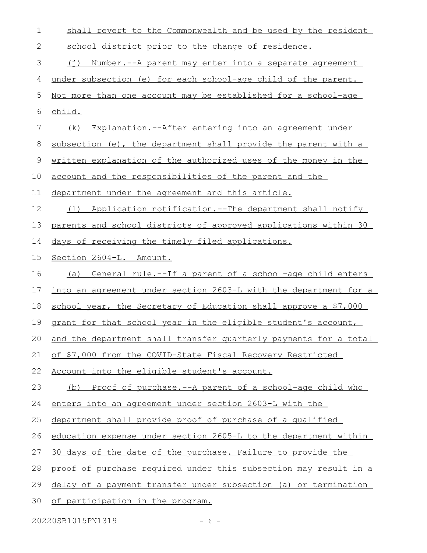| $\mathbf 1$   | shall revert to the Commonwealth and be used by the resident        |
|---------------|---------------------------------------------------------------------|
| 2             | school district prior to the change of residence.                   |
| $\mathcal{S}$ | <u>Number.--A parent may enter into a separate agreement</u><br>(i) |
| 4             | under subsection (e) for each school-age child of the parent.       |
| 5             | Not more than one account may be established for a school-age       |
| 6             | child.                                                              |
| 7             | (k) Explanation.--After entering into an agreement under            |
| 8             | subsection (e), the department shall provide the parent with a      |
| 9             | written explanation of the authorized uses of the money in the      |
| 10            | account and the responsibilities of the parent and the              |
| 11            | department under the agreement and this article.                    |
| 12            | Application notification.--The department shall notify<br>(1)       |
| 13            | parents and school districts of approved applications within 30     |
| 14            | days of receiving the timely filed applications.                    |
| 15            | Section 2604-L. Amount.                                             |
| 16            | (a) General rule.--If a parent of a school-age child enters         |
| 17            | into an agreement under section 2603-L with the department for a    |
| 18            | school year, the Secretary of Education shall approve a \$7,000     |
| 19            | grant for that school year in the eligible student's account,       |
|               | 20 and the department shall transfer quarterly payments for a total |
| 21            | of \$7,000 from the COVID-State Fiscal Recovery Restricted          |
| 22            | Account into the eligible student's account.                        |
| 23            | (b) Proof of purchase.--A parent of a school-age child who          |
| 24            | enters into an agreement under section 2603-L with the              |
| 25            | department shall provide proof of purchase of a qualified           |
| 26            | education expense under section 2605-L to the department within     |
| 27            | 30 days of the date of the purchase. Failure to provide the         |
| 28            |                                                                     |
|               | proof of purchase required under this subsection may result in a    |
| 29            | delay of a payment transfer under subsection (a) or termination     |

20220SB1015PN1319 - 6 -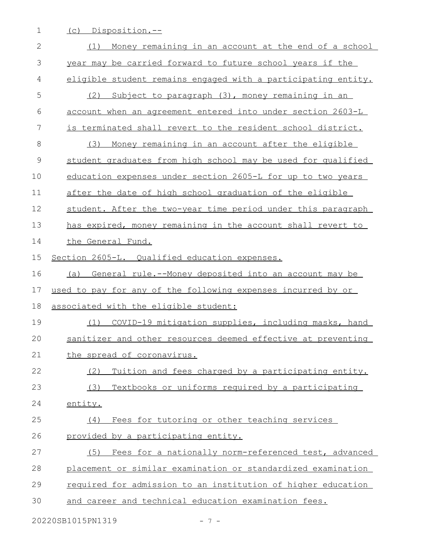1 (c) Disposition.--

| $\mathbf{2}$ | Money remaining in an account at the end of a school<br>(1)   |
|--------------|---------------------------------------------------------------|
| 3            | year may be carried forward to future school years if the     |
| 4            | eligible student remains engaged with a participating entity. |
| 5            | (2)<br>Subject to paragraph (3), money remaining in an        |
| 6            | account when an agreement entered into under section 2603-L   |
| 7            | is terminated shall revert to the resident school district.   |
| 8            | Money remaining in an account after the eligible<br>(3)       |
| $\mathsf 9$  | student graduates from high school may be used for qualified  |
| 10           | education expenses under section 2605-L for up to two years   |
| 11           | after the date of high school graduation of the eligible      |
| 12           | student. After the two-year time period under this paragraph  |
| 13           | has expired, money remaining in the account shall revert to   |
| 14           | the General Fund.                                             |
| 15           | Section 2605-L. Qualified education expenses.                 |
| 16           | General rule.--Money deposited into an account may be<br>(a)  |
| 17           | used to pay for any of the following expenses incurred by or  |
| 18           | associated with the eligible student:                         |
| 19           | (1) COVID-19 mitigation supplies, including masks, hand       |
| 20           | sanitizer and other resources deemed effective at preventing  |
| 21           | the spread of coronavirus.                                    |
| 22           | Tuition and fees charged by a participating entity.<br>(2)    |
| 23           | Textbooks or uniforms required by a participating<br>(3)      |
| 24           | entity.                                                       |
| 25           | Fees for tutoring or other teaching services<br>(4)           |
| 26           | provided by a participating entity.                           |
| 27           | Fees for a nationally norm-referenced test, advanced<br>(5)   |
| 28           | placement or similar examination or standardized examination  |
|              |                                                               |
| 29           | required for admission to an institution of higher education  |
| 30           | and career and technical education examination fees.          |

20220SB1015PN1319 - 7 -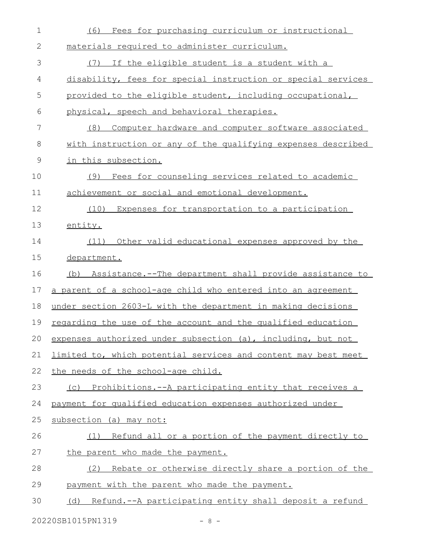| $\mathbf 1$ | Fees for purchasing curriculum or instructional<br>(6)               |
|-------------|----------------------------------------------------------------------|
| 2           | materials required to administer curriculum.                         |
| 3           | (7)<br>If the eligible student is a student with a                   |
| 4           | disability, fees for special instruction or special services         |
| 5           | provided to the eligible student, including occupational,            |
| 6           | physical, speech and behavioral therapies.                           |
| 7           | (8)<br>Computer hardware and computer software associated            |
| 8           | with instruction or any of the qualifying expenses described         |
| 9           | in this subsection.                                                  |
| 10          | Fees for counseling services related to academic<br>(9)              |
| 11          | achievement or social and emotional development.                     |
| 12          | (10) Expenses for transportation to a participation                  |
| 13          | entity.                                                              |
| 14          | Other valid educational expenses approved by the<br>(11)             |
| 15          | department.                                                          |
| 16          | (b) Assistance.--The department shall provide assistance to          |
| 17          | a parent of a school-age child who entered into an agreement         |
| 18          | under section 2603-L with the department in making decisions         |
| 19          | regarding the use of the account and the qualified education         |
|             | 20 expenses authorized under subsection (a), including, but not      |
| 21          | limited to, which potential services and content may best meet       |
| 22          | the needs of the school-age child.                                   |
| 23          | (c) Prohibitions.--A participating entity that receives a            |
| 24          | payment for qualified education expenses authorized under            |
| 25          | subsection (a) may not:                                              |
| 26          | (1) Refund all or a portion of the payment directly to               |
| 27          | the parent who made the payment.                                     |
| 28          | (2) Rebate or otherwise directly share a portion of the              |
| 29          | payment with the parent who made the payment.                        |
| 30          | <u>Refund.--A participating entity shall deposit a refund</u><br>(d) |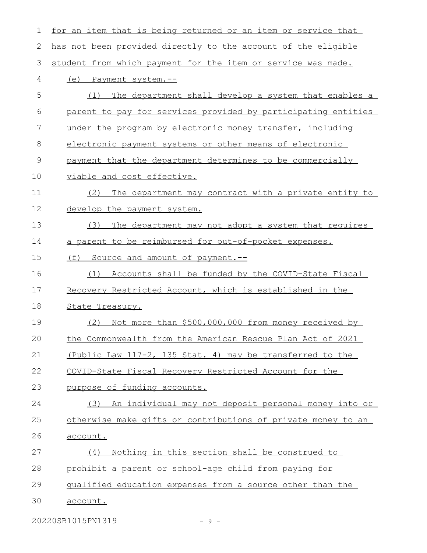| 1             | for an item that is being returned or an item or service that |
|---------------|---------------------------------------------------------------|
| 2             | has not been provided directly to the account of the eligible |
| 3             | student from which payment for the item or service was made.  |
| 4             | (e) Payment system.--                                         |
| 5             | The department shall develop a system that enables a<br>(1)   |
| 6             | parent to pay for services provided by participating entities |
| 7             | under the program by electronic money transfer, including     |
| 8             | electronic payment systems or other means of electronic       |
| $\mathcal{G}$ | payment that the department determines to be commercially     |
| 10            | viable and cost effective.                                    |
| 11            | The department may contract with a private entity to<br>(2)   |
| 12            | develop the payment system.                                   |
| 13            | The department may not adopt a system that requires<br>(3)    |
| 14            | a parent to be reimbursed for out-of-pocket expenses.         |
| 15            | (f) Source and amount of payment.--                           |
| 16            | Accounts shall be funded by the COVID-State Fiscal<br>(1)     |
| 17            | Recovery Restricted Account, which is established in the      |
| 18            | State Treasury.                                               |
| 19            | Not more than \$500,000,000 from money received by<br>(2)     |
| 20            | the Commonwealth from the American Rescue Plan Act of 2021    |
| 21            | (Public Law 117-2, 135 Stat. 4) may be transferred to the     |
| 22            | COVID-State Fiscal Recovery Restricted Account for the        |
| 23            | purpose of funding accounts.                                  |
| 24            | An individual may not deposit personal money into or<br>(3)   |
| 25            | otherwise make gifts or contributions of private money to an  |
| 26            | account.                                                      |
| 27            | Nothing in this section shall be construed to<br>(4)          |
| 28            | prohibit a parent or school-age child from paying for         |
| 29            | qualified education expenses from a source other than the     |
| 30            | account.                                                      |
|               | 20220SB1015PN1319<br>$-9-$                                    |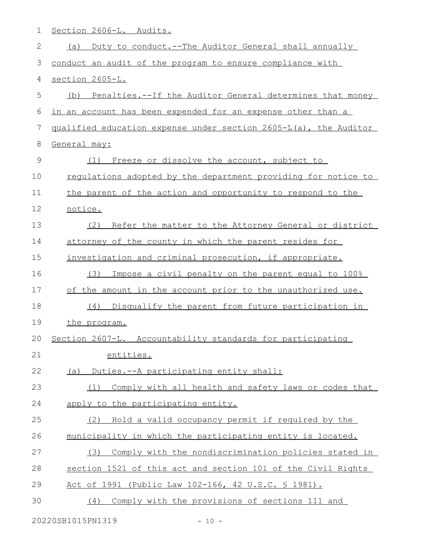| 1  | Section 2606-L. Audits.                                              |
|----|----------------------------------------------------------------------|
| 2  | Duty to conduct.--The Auditor General shall annually<br>(a)          |
| 3  | conduct an audit of the program to ensure compliance with            |
| 4  | section 2605-L.                                                      |
| 5  | Penalties.--If the Auditor General determines that money<br>(b)      |
| 6  | in an account has been expended for an expense other than a          |
| 7  | qualified education expense under section 2605-L(a), the Auditor     |
| 8  | General may:                                                         |
| 9  | Freeze or dissolve the account, subject to<br>(1)                    |
| 10 | <u>requlations adopted by the department providing for notice to</u> |
| 11 | the parent of the action and opportunity to respond to the           |
| 12 | notice.                                                              |
| 13 | (2)<br>Refer the matter to the Attorney General or district          |
| 14 | attorney of the county in which the parent resides for               |
| 15 | investigation and criminal prosecution, if appropriate.              |
| 16 | Impose a civil penalty on the parent equal to 100%<br>(3)            |
| 17 | of the amount in the account prior to the unauthorized use.          |
| 18 | (4) Disqualify the parent from future participation in               |
| 19 | the program.                                                         |
| 20 | Section 2607-L. Accountability standards for participating           |
| 21 | entities.                                                            |
| 22 | Duties.--A participating entity shall:<br>(a)                        |
| 23 | Comply with all health and safety laws or codes that<br>(1)          |
| 24 | apply to the participating entity.                                   |
| 25 | Hold a valid occupancy permit if required by the<br>(2)              |
| 26 | municipality in which the participating entity is located.           |
| 27 | Comply with the nondiscrimination policies stated in<br>(3)          |
| 28 | section 1521 of this act and section 101 of the Civil Rights         |
| 29 | Act of 1991 (Public Law 102-166, 42 U.S.C. § 1981).                  |
| 30 | Comply with the provisions of sections 111 and<br>(4)                |
|    |                                                                      |

20220SB1015PN1319 - 10 -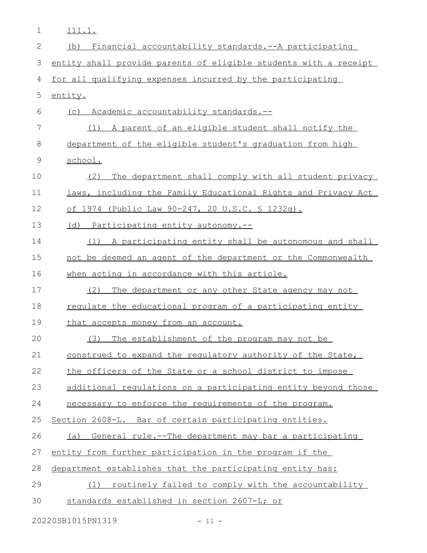| 1            | 111.1.                                                           |
|--------------|------------------------------------------------------------------|
| $\mathbf{2}$ | (b) Financial accountability standards.--A participating         |
| 3            | entity shall provide parents of eligible students with a receipt |
| 4            | for all qualifying expenses incurred by the participating        |
| 5            | entity.                                                          |
| 6            | (c) Academic accountability standards.--                         |
| 7            | (1) A parent of an eligible student shall notify the             |
| 8            | department of the eligible student's graduation from high        |
| $\mathsf 9$  | school.                                                          |
| 10           | The department shall comply with all student privacy<br>(2)      |
| 11           | laws, including the Family Educational Rights and Privacy Act    |
| 12           | of 1974 (Public Law 90-247, 20 U.S.C. § 1232q).                  |
| 13           | Participating entity autonomy.--<br>(d)                          |
| 14           | (1)<br>A participating entity shall be autonomous and shall      |
| 15           | not be deemed an agent of the department or the Commonwealth     |
| 16           | when acting in accordance with this article.                     |
| 17           | (2)<br>The department or any other State agency may not          |
| 18           | regulate the educational program of a participating entity       |
| 19           | that accepts money from an account.                              |
| 20           | (3)<br>The establishment of the program may not be               |
| 21           | construed to expand the requlatory authority of the State,       |
| 22           | the officers of the State or a school district to impose         |
| 23           | additional requlations on a participating entity beyond those    |
| 24           | necessary to enforce the requirements of the program.            |
| 25           | Section 2608-L. Bar of certain participating entities.           |
| 26           | (a) General rule.--The department may bar a participating        |
| 27           | entity from further participation in the program if the          |
| 28           | department establishes that the participating entity has:        |
| 29           | (1) routinely failed to comply with the accountability           |
| 30           | standards established in section 2607-L; or                      |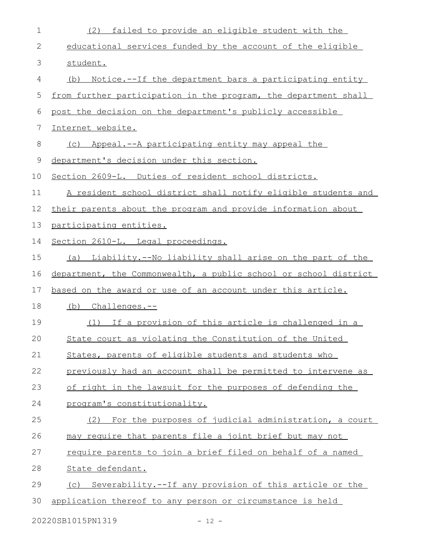| 1  | failed to provide an eligible student with the<br>(2)            |
|----|------------------------------------------------------------------|
| 2  | educational services funded by the account of the eligible       |
| 3  | student.                                                         |
| 4  | Notice.--If the department bars a participating entity<br>(b)    |
| 5  | from further participation in the program, the department shall  |
| 6  | post the decision on the department's publicly accessible        |
| 7  | Internet website.                                                |
| 8  | (c) Appeal.--A participating entity may appeal the               |
| 9  | department's decision under this section.                        |
| 10 | Section 2609-L. Duties of resident school districts.             |
| 11 | A resident school district shall notify eligible students and    |
| 12 | their parents about the program and provide information about    |
| 13 | participating entities.                                          |
| 14 | Section 2610-L. Legal proceedings.                               |
| 15 | (a) Liability.--No liability shall arise on the part of the      |
| 16 | department, the Commonwealth, a public school or school district |
| 17 | based on the award or use of an account under this article.      |
| 18 | (b) Challenges.--                                                |
| 19 | (1) If a provision of this article is challenged in a            |
| 20 | State court as violating the Constitution of the United          |
| 21 | States, parents of eligible students and students who            |
| 22 | previously had an account shall be permitted to intervene as     |
| 23 | of right in the lawsuit for the purposes of defending the        |
| 24 | program's constitutionality.                                     |
| 25 | (2) For the purposes of judicial administration, a court         |
| 26 | may require that parents file a joint brief but may not          |
| 27 | require parents to join a brief filed on behalf of a named       |
| 28 | State defendant.                                                 |
| 29 | (c) Severability.--If any provision of this article or the       |
| 30 | application thereof to any person or circumstance is held        |
|    | 20220SB1015PN1319<br>$-12 -$                                     |